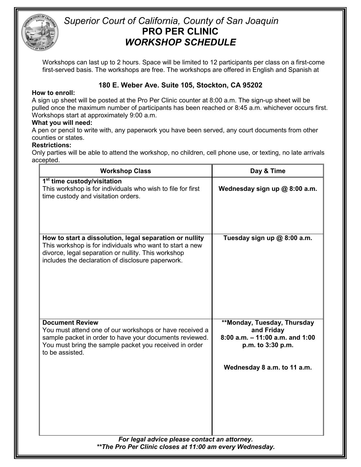

## *Superior Court of California, County of San Joaquin* **PRO PER CLINIC** *WORKSHOP SCHEDULE*

Workshops can last up to 2 hours. Space will be limited to 12 participants per class on a first-come first-served basis. The workshops are free. The workshops are offered in English and Spanish at

### **180 E. Weber Ave. Suite 105, Stockton, CA 95202**

#### **How to enroll:**

A sign up sheet will be posted at the Pro Per Clinic counter at 8:00 a.m. The sign-up sheet will be pulled once the maximum number of participants has been reached or 8:45 a.m. whichever occurs first. Workshops start at approximately 9:00 a.m.

#### **What you will need:**

A pen or pencil to write with, any paperwork you have been served, any court documents from other counties or states.

#### **Restrictions:**

Only parties will be able to attend the workshop, no children, cell phone use, or texting, no late arrivals accepted.

| <b>Workshop Class</b>                                                                                                                                                                                                           | Day & Time                                                                                                                          |  |
|---------------------------------------------------------------------------------------------------------------------------------------------------------------------------------------------------------------------------------|-------------------------------------------------------------------------------------------------------------------------------------|--|
| 1 <sup>st</sup> time custody/visitation<br>This workshop is for individuals who wish to file for first<br>time custody and visitation orders.                                                                                   | Wednesday sign up @ 8:00 a.m.                                                                                                       |  |
| How to start a dissolution, legal separation or nullity<br>This workshop is for individuals who want to start a new<br>divorce, legal separation or nullity. This workshop<br>includes the declaration of disclosure paperwork. | Tuesday sign up @ 8:00 a.m.                                                                                                         |  |
| <b>Document Review</b><br>You must attend one of our workshops or have received a<br>sample packet in order to have your documents reviewed.<br>You must bring the sample packet you received in order<br>to be assisted.       | **Monday, Tuesday, Thursday<br>and Friday<br>$8:00$ a.m. $-11:00$ a.m. and 1:00<br>p.m. to 3:30 p.m.<br>Wednesday 8 a.m. to 11 a.m. |  |
| For legal advice please contact an attorney.<br>** The Pro Per Clinic closes at 11:00 am every Wednesday.                                                                                                                       |                                                                                                                                     |  |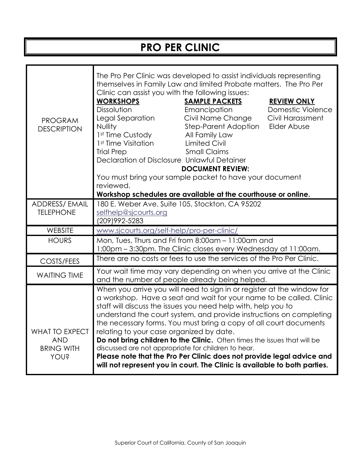# **PRO PER CLINIC**

| <b>PROGRAM</b><br><b>DESCRIPTION</b>                             | The Pro Per Clinic was developed to assist individuals representing<br>themselves in Family Law and limited Probate matters. The Pro Per<br>Clinic can assist you with the following issues:<br><b>WORKSHOPS</b><br><b>SAMPLE PACKETS</b><br><b>REVIEW ONLY</b><br>Dissolution<br>Emancipation<br><b>Domestic Violence</b><br>Legal Separation<br>Civil Name Change<br>Civil Harassment<br>Step-Parent Adoption<br><b>Nullity</b><br><b>Elder Abuse</b><br>1st Time Custody<br>All Family Law<br>1 <sup>st</sup> Time Visitation<br><b>Limited Civil</b><br><b>Small Claims</b><br><b>Trial Prep</b><br>Declaration of Disclosure Unlawful Detainer<br><b>DOCUMENT REVIEW:</b><br>You must bring your sample packet to have your document<br>reviewed.<br>Workshop schedules are available at the courthouse or online. |  |  |
|------------------------------------------------------------------|-------------------------------------------------------------------------------------------------------------------------------------------------------------------------------------------------------------------------------------------------------------------------------------------------------------------------------------------------------------------------------------------------------------------------------------------------------------------------------------------------------------------------------------------------------------------------------------------------------------------------------------------------------------------------------------------------------------------------------------------------------------------------------------------------------------------------|--|--|
| <b>ADDRESS/ EMAIL</b>                                            | 180 E. Weber Ave. Suite 105, Stockton, CA 95202                                                                                                                                                                                                                                                                                                                                                                                                                                                                                                                                                                                                                                                                                                                                                                         |  |  |
| <b>TELEPHONE</b>                                                 | selfhelp@sjcourts.org<br>(209) 992-5283                                                                                                                                                                                                                                                                                                                                                                                                                                                                                                                                                                                                                                                                                                                                                                                 |  |  |
| WEBSITE                                                          | www.sjcourts.org/self-help/pro-per-clinic/                                                                                                                                                                                                                                                                                                                                                                                                                                                                                                                                                                                                                                                                                                                                                                              |  |  |
| <b>HOURS</b>                                                     | Mon, Tues, Thurs and Fri from 8:00am - 11:00am and<br>1:00pm - 3:30pm. The Clinic closes every Wednesday at 11:00am.                                                                                                                                                                                                                                                                                                                                                                                                                                                                                                                                                                                                                                                                                                    |  |  |
| COSTS/FEES                                                       | There are no costs or fees to use the services of the Pro Per Clinic.                                                                                                                                                                                                                                                                                                                                                                                                                                                                                                                                                                                                                                                                                                                                                   |  |  |
| <b>WAITING TIME</b>                                              | Your wait time may vary depending on when you arrive at the Clinic<br>and the number of people already being helped.                                                                                                                                                                                                                                                                                                                                                                                                                                                                                                                                                                                                                                                                                                    |  |  |
| WHAT TO EXPECT<br><b>AND</b><br><b>BRING WITH</b><br><b>AONS</b> | When you arrive you will need to sign in or register at the window for<br>a workshop. Have a seat and wait for your name to be called. Clinic<br>staff will discuss the issues you need help with, help you to<br>understand the court system, and provide instructions on completing<br>the necessary forms. You must bring a copy of all court documents<br>relating to your case organized by date.<br>Do not bring children to the Clinic. Often times the issues that will be<br>discussed are not appropriate for children to hear.<br>Please note that the Pro Per Clinic does not provide legal advice and<br>will not represent you in court. The Clinic is available to both parties.                                                                                                                         |  |  |